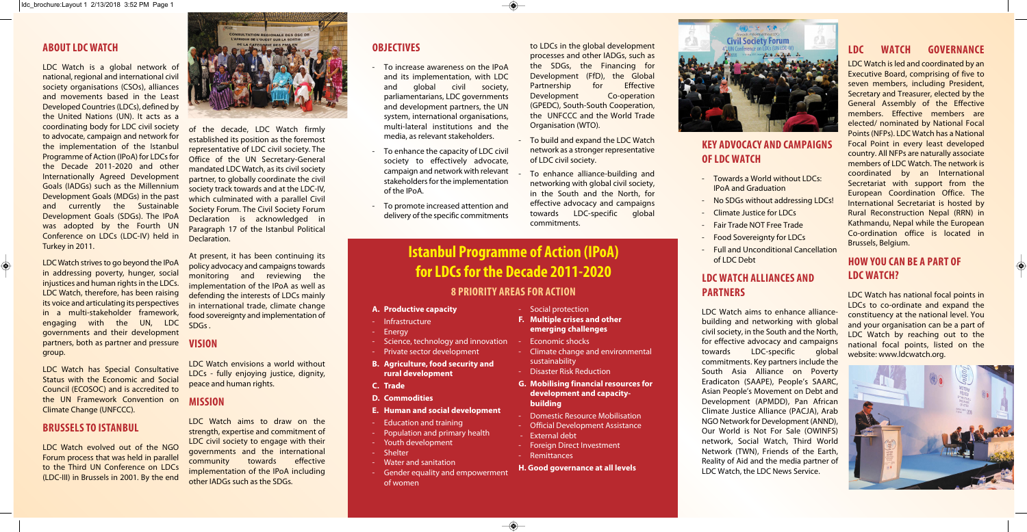### **ABOUT LDC WATCH**

LDC Watch is a global network of national, regional and international civil society organisations (CSOs), alliances and movements based in the Least Developed Countries (LDCs), defined by the United Nations (UN). It acts as a coordinating body for LDC civil society to advocate, campaign and network for the implementation of the Istanbul Programme of Action (IPoA) for LDCs for the Decade 2011-2020 and other Internationally Agreed Development Goals (IADGs) such as the Millennium Development Goals (MDGs) in the past and currently the Sustainable Development Goals (SDGs). The IPoA was adopted by the Fourth UN Conference on LDCs (LDC-IV) held in Turkey in 2011.

LDC Watch strives to go beyond the IPoA in addressing poverty, hunger, social injustices and human rights in the LDCs. LDC Watch, therefore, has been raising its voice and articulating its perspectives in a multi-stakeholder framework, engaging with the UN, LDC governments and their development partners, both as partner and pressure group.

 $\bigcircledast$ 

LDC Watch has Special Consultative Status with the Economic and Social Council (ECOSOC) and is accredited to the UN Framework Convention on Climate Change (UNFCCC).

### **BRUSSELS TO ISTANBUL**

LDC Watch evolved out of the NGO Forum process that was held in parallel to the Third UN Conference on LDCs (LDC-III) in Brussels in 2001. By the end



of the decade, LDC Watch firmly established its position as the foremost representative of LDC civil society. The Office of the UN Secretary-General mandated LDC Watch, as its civil society partner, to globally coordinate the civil society track towards and at the LDC-IV, which culminated with a parallel Civil Society Forum. The Civil Society Forum Declaration is acknowledged in Paragraph 17 of the Istanbul Political Declaration.

- To build and expand the LDC Watch network as a stronger representative of LDC civil society.
- To enhance alliance-building and networking with global civil society, in the South and the North, for effective advocacy and campaigns towards LDC-specific global commitments.
	-

At present, it has been continuing its policy advocacy and campaigns towards monitoring and reviewing the implementation of the IPoA as well as defending the interests of LDCs mainly in international trade, climate change food sovereignty and implementation of SDGs .

#### **VISION**

LDC Watch envisions a world without LDCs - fully enjoying justice, dignity, peace and human rights.

### **MISSION**

LDC Watch aims to draw on the strength, expertise and commitment of LDC civil society to engage with their governments and the international community towards effective implementation of the IPoA including other IADGs such as the SDGs.

### **OBJECTIVES**

- To increase awareness on the IPoA and its implementation, with LDC and global civil society, parliamentarians, LDC governments and development partners, the UN system, international organisations, multi-lateral institutions and the media, as relevant stakeholders.
- To enhance the capacity of LDC civil society to effectively advocate, campaign and network with relevant stakeholders for the implementation of the IPoA.
- To promote increased attention and delivery of the specific commitments

**F. Multiple crises and other emerging challenges**  Economic shocks

to LDCs in the global development processes and other IADGs, such as the SDGs, the Financing for Development (FfD), the Global Partnership for Effective Development Co-operation (GPEDC), South-South Cooperation, the UNFCCC and the World Trade Organisation (WTO).

## **KEY ADVOCACY AND CAMPAIGNS**

# **OF LDC WATCH**

- Towards a World without LDCs: IPoA and Graduation
- No SDGs without addressing LDCs!
- Climate Justice for LDCs
- Fair Trade NOT Free Trade
- **Food Sovereignty for LDCs**
- Full and Unconditional Cancellation
- 
- 
- 
- 
- 
- of LDC Debt

### **LDC WATCH ALLIANCES AND**

## **PARTNERS**



LDC Watch aims to enhance alliancebuilding and networking with global civil society, in the South and the North, for effective advocacy and campaigns towards LDC-specific global commitments. Key partners include the South Asia Alliance on Poverty Eradicaton (SAAPE), People's SAARC, Asian People's Movement on Debt and Development (APMDD), Pan African Climate Justice Alliance (PACJA), Arab NGO Network for Development (ANND), Our World is Not For Sale (OWINFS) network, Social Watch, Third World Network (TWN), Friends of the Earth, Reality of Aid and the media partner of LDC Watch, the LDC News Service.

### **LDC WATCH GOVERNANCE**

LDC Watch is led and coordinated by an Executive Board, comprising of five to seven members, including President, Secretary and Treasurer, elected by the General Assembly of the Effective members. Effective members are elected/ nominated by National Focal Points (NFPs). LDC Watch has a National Focal Point in every least developed country. All NFPs are naturally associate members of LDC Watch. The network is coordinated by an International Secretariat with support from the European Coordination Office. The International Secretariat is hosted by Rural Reconstruction Nepal (RRN) in Kathmandu, Nepal while the European Co-ordination office is located in Brussels, Belgium.

### **HOW YOU CAN BE A PART OF LDC WATCH?**

LDC Watch has national focal points in LDCs to co-ordinate and expand the constituency at the national level. You and your organisation can be a part of LDC Watch by reaching out to the national focal points, listed on the website: www.ldcwatch.org.



#### **A. Productive capacity**

- Infrastructure
- Energy
- Science, technology and innovation
- Private sector development
- **B. Agriculture, food security and**
- **rural development**
- **C. Trade**
- **D. Commodities**
- **E. Human and social development**
- Education and training
- Population and primary health
- Youth development
- Shelter
- Water and sanitation
	- Gender equality and empowerment of women

- Social protection

- Climate change and environmental

sustainability

- Disaster Risk Reduction

**G. Mobilising financial resources for development and capacity-**

**building** 

- Domestic Resource Mobilisation - Official Development Assistance

- External debt

- Foreign Direct Investment

- Remittances

 $\overline{\bullet}$ 

**H. Good governance at all levels**

### **Istanbul Programme of Action (IPoA) for LDCs for the Decade 2011-2020 8 PRIORITY AREAS FOR ACTION**